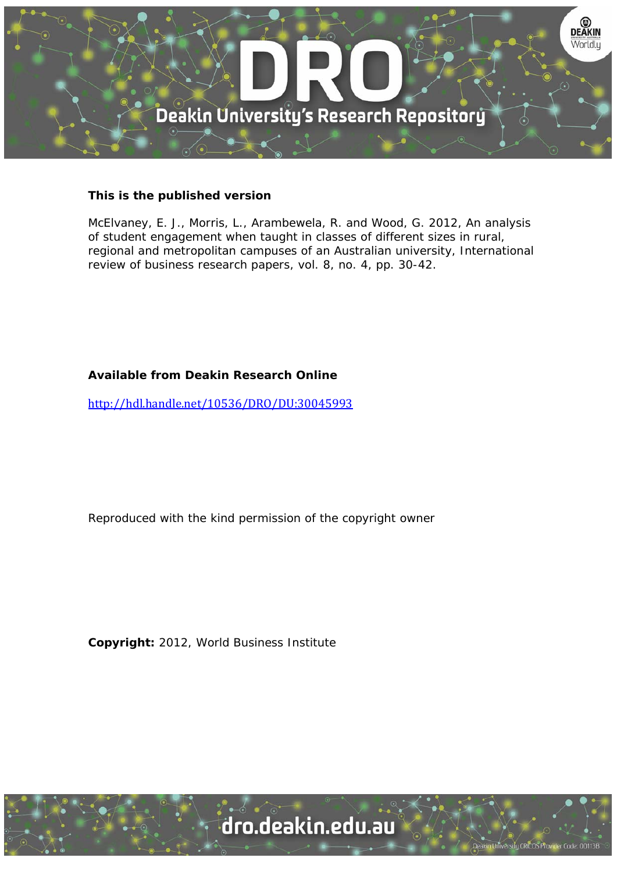

#### **This is the published version**

McElvaney, E. J., Morris, L., Arambewela, R. and Wood, G. 2012, An analysis of student engagement when taught in classes of different sizes in rural, regional and metropolitan campuses of an Australian university, International review of business research papers, vol. 8, no. 4, pp. 30-42.

#### **Available from Deakin Research Online**

http://hdl.handle.net/10536/DRO/DU:30045993

Reproduced with the kind permission of the copyright owner

**Copyright:** 2012, World Business Institute

University CRICOS Provider Code: 00113B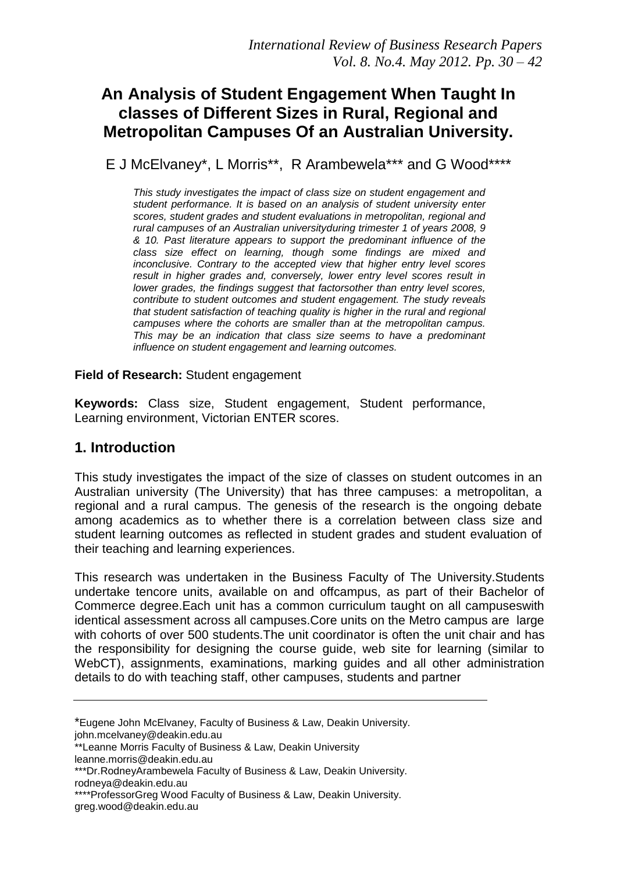# **An Analysis of Student Engagement When Taught In classes of Different Sizes in Rural, Regional and Metropolitan Campuses Of an Australian University.**

E J McElvaney\*, L Morris\*\*, R Arambewela\*\*\* and G Wood\*\*\*\*

*This study investigates the impact of class size on student engagement and student performance. It is based on an analysis of student university enter scores, student grades and student evaluations in metropolitan, regional and rural campuses of an Australian universityduring trimester 1 of years 2008, 9 & 10. Past literature appears to support the predominant influence of the class size effect on learning, though some findings are mixed and inconclusive. Contrary to the accepted view that higher entry level scores result in higher grades and, conversely, lower entry level scores result in lower grades, the findings suggest that factorsother than entry level scores, contribute to student outcomes and student engagement. The study reveals that student satisfaction of teaching quality is higher in the rural and regional campuses where the cohorts are smaller than at the metropolitan campus. This may be an indication that class size seems to have a predominant influence on student engagement and learning outcomes.*

**Field of Research:** Student engagement

**Keywords:** Class size, Student engagement, Student performance, Learning environment, Victorian ENTER scores.

## **1. Introduction**

This study investigates the impact of the size of classes on student outcomes in an Australian university (The University) that has three campuses: a metropolitan, a regional and a rural campus. The genesis of the research is the ongoing debate among academics as to whether there is a correlation between class size and student learning outcomes as reflected in student grades and student evaluation of their teaching and learning experiences.

This research was undertaken in the Business Faculty of The University.Students undertake tencore units, available on and offcampus, as part of their Bachelor of Commerce degree.Each unit has a common curriculum taught on all campuseswith identical assessment across all campuses.Core units on the Metro campus are large with cohorts of over 500 students.The unit coordinator is often the unit chair and has the responsibility for designing the course guide, web site for learning (similar to WebCT), assignments, examinations, marking guides and all other administration details to do with teaching staff, other campuses, students and partner

john.mcelvaney@deakin.edu.au

leanne.morris@deakin.edu.au \*\*\*Dr.RodneyArambewela Faculty of Business & Law, Deakin University.

rodneya@deakin.edu.au

<sup>\*</sup>Eugene John McElvaney, Faculty of Business & Law, Deakin University.

<sup>\*\*</sup>Leanne Morris Faculty of Business & Law, Deakin University

<sup>\*\*\*\*</sup>ProfessorGreg Wood Faculty of Business & Law, Deakin University. greg.wood@deakin.edu.au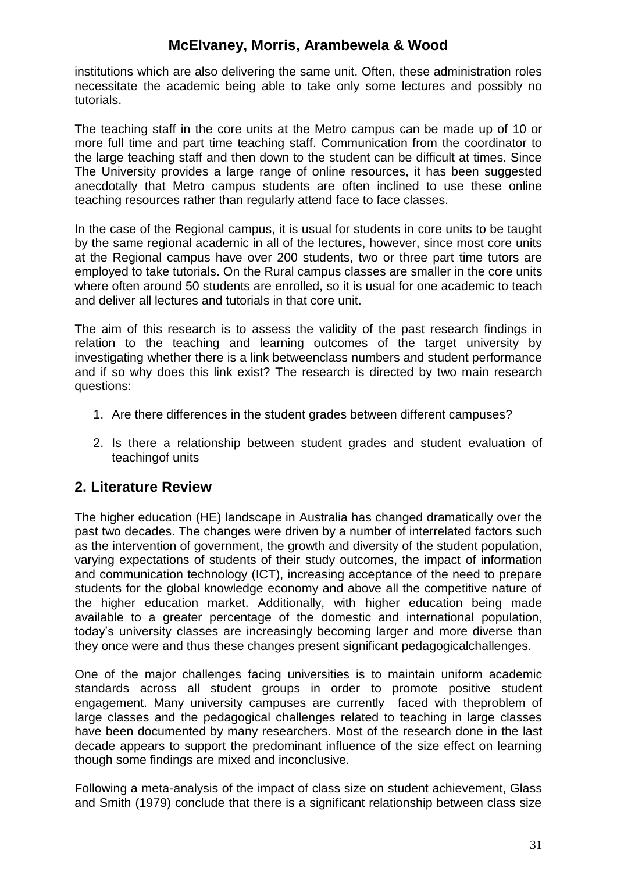institutions which are also delivering the same unit. Often, these administration roles necessitate the academic being able to take only some lectures and possibly no tutorials.

The teaching staff in the core units at the Metro campus can be made up of 10 or more full time and part time teaching staff. Communication from the coordinator to the large teaching staff and then down to the student can be difficult at times. Since The University provides a large range of online resources, it has been suggested anecdotally that Metro campus students are often inclined to use these online teaching resources rather than regularly attend face to face classes.

In the case of the Regional campus, it is usual for students in core units to be taught by the same regional academic in all of the lectures, however, since most core units at the Regional campus have over 200 students, two or three part time tutors are employed to take tutorials. On the Rural campus classes are smaller in the core units where often around 50 students are enrolled, so it is usual for one academic to teach and deliver all lectures and tutorials in that core unit.

The aim of this research is to assess the validity of the past research findings in relation to the teaching and learning outcomes of the target university by investigating whether there is a link betweenclass numbers and student performance and if so why does this link exist? The research is directed by two main research questions:

- 1. Are there differences in the student grades between different campuses?
- 2. Is there a relationship between student grades and student evaluation of teachingof units

### **2. Literature Review**

The higher education (HE) landscape in Australia has changed dramatically over the past two decades. The changes were driven by a number of interrelated factors such as the intervention of government, the growth and diversity of the student population, varying expectations of students of their study outcomes, the impact of information and communication technology (ICT), increasing acceptance of the need to prepare students for the global knowledge economy and above all the competitive nature of the higher education market. Additionally, with higher education being made available to a greater percentage of the domestic and international population, today"s university classes are increasingly becoming larger and more diverse than they once were and thus these changes present significant pedagogicalchallenges.

One of the major challenges facing universities is to maintain uniform academic standards across all student groups in order to promote positive student engagement. Many university campuses are currently faced with theproblem of large classes and the pedagogical challenges related to teaching in large classes have been documented by many researchers. Most of the research done in the last decade appears to support the predominant influence of the size effect on learning though some findings are mixed and inconclusive.

Following a meta-analysis of the impact of class size on student achievement, Glass and Smith (1979) conclude that there is a significant relationship between class size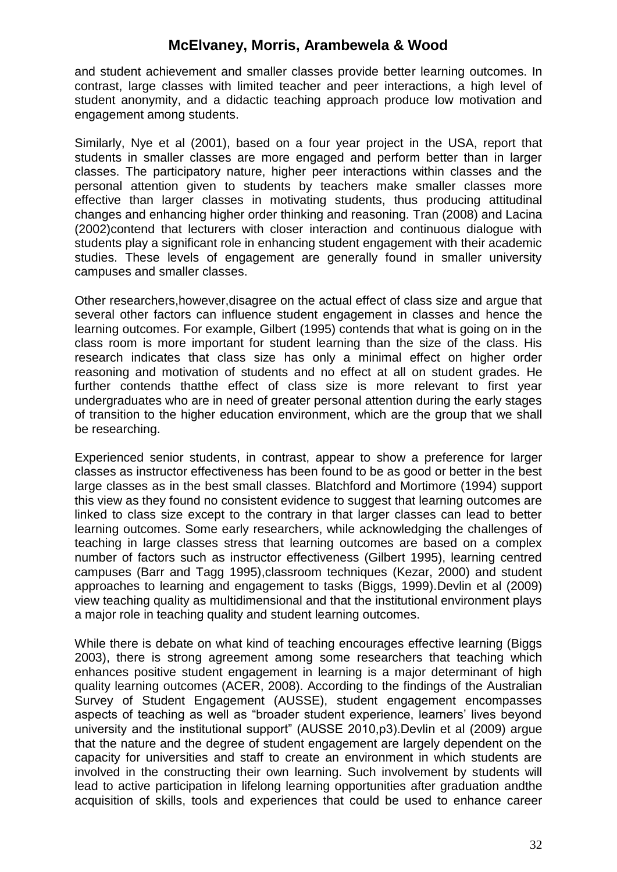and student achievement and smaller classes provide better learning outcomes. In contrast, large classes with limited teacher and peer interactions, a high level of student anonymity, and a didactic teaching approach produce low motivation and engagement among students.

Similarly, Nye et al (2001), based on a four year project in the USA, report that students in smaller classes are more engaged and perform better than in larger classes. The participatory nature, higher peer interactions within classes and the personal attention given to students by teachers make smaller classes more effective than larger classes in motivating students, thus producing attitudinal changes and enhancing higher order thinking and reasoning. Tran (2008) and Lacina (2002)contend that lecturers with closer interaction and continuous dialogue with students play a significant role in enhancing student engagement with their academic studies. These levels of engagement are generally found in smaller university campuses and smaller classes.

Other researchers,however,disagree on the actual effect of class size and argue that several other factors can influence student engagement in classes and hence the learning outcomes. For example, Gilbert (1995) contends that what is going on in the class room is more important for student learning than the size of the class. His research indicates that class size has only a minimal effect on higher order reasoning and motivation of students and no effect at all on student grades. He further contends thatthe effect of class size is more relevant to first year undergraduates who are in need of greater personal attention during the early stages of transition to the higher education environment, which are the group that we shall be researching.

Experienced senior students, in contrast, appear to show a preference for larger classes as instructor effectiveness has been found to be as good or better in the best large classes as in the best small classes. Blatchford and Mortimore (1994) support this view as they found no consistent evidence to suggest that learning outcomes are linked to class size except to the contrary in that larger classes can lead to better learning outcomes. Some early researchers, while acknowledging the challenges of teaching in large classes stress that learning outcomes are based on a complex number of factors such as instructor effectiveness (Gilbert 1995), learning centred campuses (Barr and Tagg 1995),classroom techniques (Kezar, 2000) and student approaches to learning and engagement to tasks (Biggs, 1999).Devlin et al (2009) view teaching quality as multidimensional and that the institutional environment plays a major role in teaching quality and student learning outcomes.

While there is debate on what kind of teaching encourages effective learning (Biggs 2003), there is strong agreement among some researchers that teaching which enhances positive student engagement in learning is a major determinant of high quality learning outcomes (ACER, 2008). According to the findings of the Australian Survey of Student Engagement (AUSSE), student engagement encompasses aspects of teaching as well as "broader student experience, learners' lives beyond university and the institutional support" (AUSSE 2010,p3).Devlin et al (2009) argue that the nature and the degree of student engagement are largely dependent on the capacity for universities and staff to create an environment in which students are involved in the constructing their own learning. Such involvement by students will lead to active participation in lifelong learning opportunities after graduation andthe acquisition of skills, tools and experiences that could be used to enhance career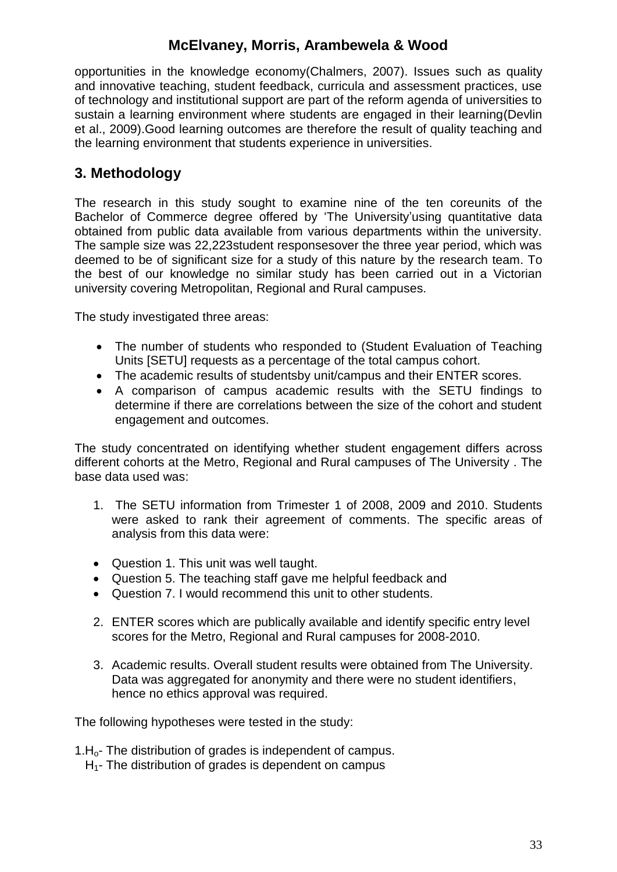opportunities in the knowledge economy(Chalmers, 2007). Issues such as quality and innovative teaching, student feedback, curricula and assessment practices, use of technology and institutional support are part of the reform agenda of universities to sustain a learning environment where students are engaged in their learning(Devlin et al., 2009).Good learning outcomes are therefore the result of quality teaching and the learning environment that students experience in universities.

## **3. Methodology**

The research in this study sought to examine nine of the ten coreunits of the Bachelor of Commerce degree offered by 'The University'using quantitative data obtained from public data available from various departments within the university. The sample size was 22,223student responsesover the three year period, which was deemed to be of significant size for a study of this nature by the research team. To the best of our knowledge no similar study has been carried out in a Victorian university covering Metropolitan, Regional and Rural campuses.

The study investigated three areas:

- The number of students who responded to (Student Evaluation of Teaching Units [SETU] requests as a percentage of the total campus cohort.
- The academic results of studentsby unit/campus and their ENTER scores.
- A comparison of campus academic results with the SETU findings to determine if there are correlations between the size of the cohort and student engagement and outcomes.

The study concentrated on identifying whether student engagement differs across different cohorts at the Metro, Regional and Rural campuses of The University . The base data used was:

- 1. The SETU information from Trimester 1 of 2008, 2009 and 2010. Students were asked to rank their agreement of comments. The specific areas of analysis from this data were:
- Question 1. This unit was well taught.
- Question 5. The teaching staff gave me helpful feedback and
- Question 7. I would recommend this unit to other students.
- 2. ENTER scores which are publically available and identify specific entry level scores for the Metro, Regional and Rural campuses for 2008-2010.
- 3. Academic results. Overall student results were obtained from The University. Data was aggregated for anonymity and there were no student identifiers, hence no ethics approval was required.

The following hypotheses were tested in the study:

- 1.H<sub>o</sub>- The distribution of grades is independent of campus.
	- $H_1$  The distribution of grades is dependent on campus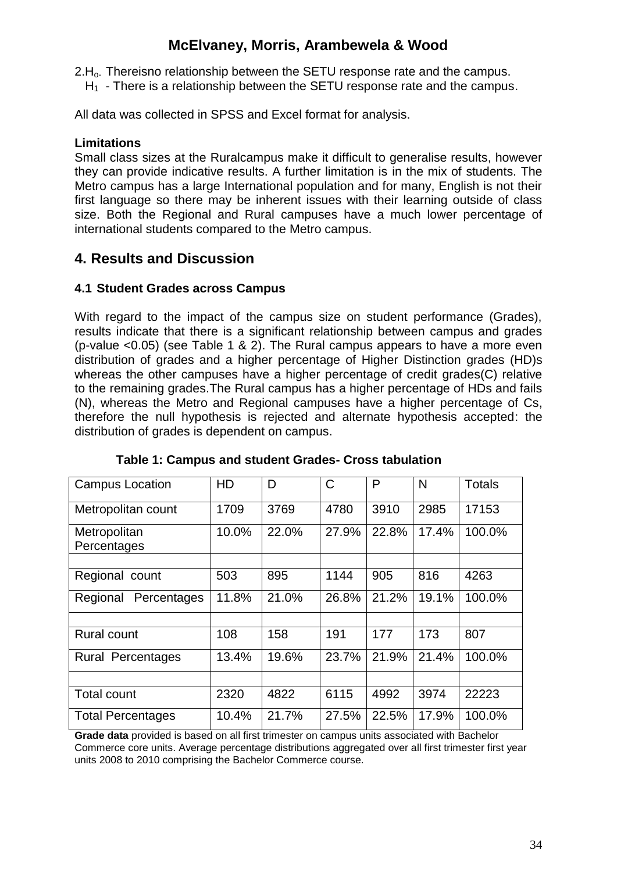2.H<sub>o</sub>. Thereisno relationship between the SETU response rate and the campus.

 $H_1$  - There is a relationship between the SETU response rate and the campus.

All data was collected in SPSS and Excel format for analysis.

#### **Limitations**

Small class sizes at the Ruralcampus make it difficult to generalise results, however they can provide indicative results. A further limitation is in the mix of students. The Metro campus has a large International population and for many, English is not their first language so there may be inherent issues with their learning outside of class size. Both the Regional and Rural campuses have a much lower percentage of international students compared to the Metro campus.

### **4. Results and Discussion**

### **4.1 Student Grades across Campus**

With regard to the impact of the campus size on student performance (Grades), results indicate that there is a significant relationship between campus and grades (p-value <0.05) (see Table 1 & 2). The Rural campus appears to have a more even distribution of grades and a higher percentage of Higher Distinction grades (HD)s whereas the other campuses have a higher percentage of credit grades(C) relative to the remaining grades.The Rural campus has a higher percentage of HDs and fails (N), whereas the Metro and Regional campuses have a higher percentage of Cs, therefore the null hypothesis is rejected and alternate hypothesis accepted: the distribution of grades is dependent on campus.

| <b>Campus Location</b>      | <b>HD</b> | D     | $\mathsf C$ | P     | N     | <b>Totals</b> |
|-----------------------------|-----------|-------|-------------|-------|-------|---------------|
| Metropolitan count          | 1709      | 3769  | 4780        | 3910  | 2985  | 17153         |
| Metropolitan<br>Percentages | 10.0%     | 22.0% | 27.9%       | 22.8% | 17.4% | 100.0%        |
|                             |           |       |             |       |       |               |
| Regional count              | 503       | 895   | 1144        | 905   | 816   | 4263          |
| Percentages<br>Regional     | 11.8%     | 21.0% | 26.8%       | 21.2% | 19.1% | 100.0%        |
|                             |           |       |             |       |       |               |
| <b>Rural count</b>          | 108       | 158   | 191         | 177   | 173   | 807           |
| <b>Rural Percentages</b>    | 13.4%     | 19.6% | 23.7%       | 21.9% | 21.4% | 100.0%        |
|                             |           |       |             |       |       |               |
| <b>Total count</b>          | 2320      | 4822  | 6115        | 4992  | 3974  | 22223         |
| <b>Total Percentages</b>    | 10.4%     | 21.7% | 27.5%       | 22.5% | 17.9% | 100.0%        |

 **Table 1: Campus and student Grades- Cross tabulation**

**Grade data** provided is based on all first trimester on campus units associated with Bachelor Commerce core units. Average percentage distributions aggregated over all first trimester first year units 2008 to 2010 comprising the Bachelor Commerce course.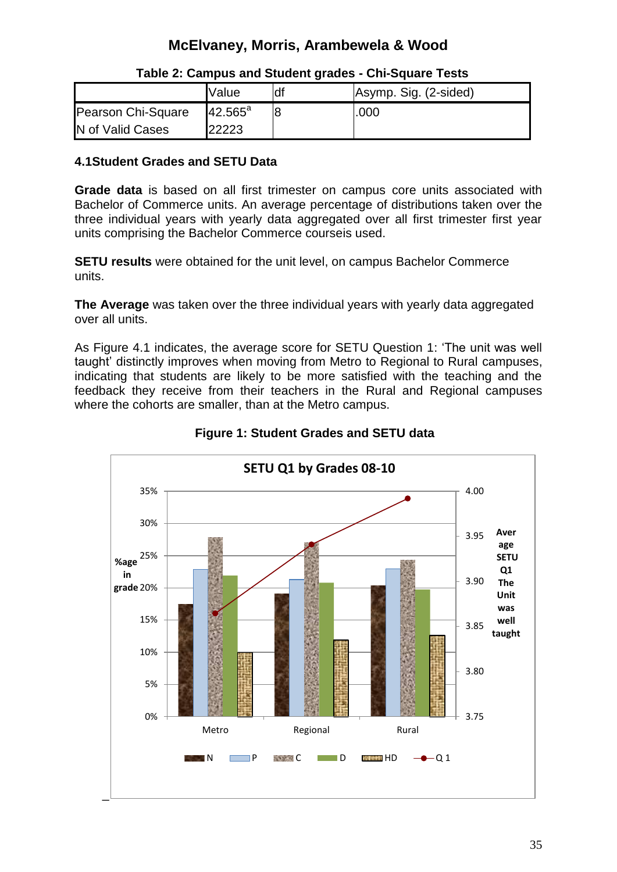|                    | <b>Value</b>     | df | Asymp. Sig. (2-sided) |
|--------------------|------------------|----|-----------------------|
| Pearson Chi-Square | $42.565^{\circ}$ | l8 | .000                  |
| N of Valid Cases   | 22223            |    |                       |

#### **Table 2: Campus and Student grades - Chi-Square Tests**

#### **4.1Student Grades and SETU Data**

**Grade data** is based on all first trimester on campus core units associated with Bachelor of Commerce units. An average percentage of distributions taken over the three individual years with yearly data aggregated over all first trimester first year units comprising the Bachelor Commerce courseis used.

**SETU results** were obtained for the unit level, on campus Bachelor Commerce units.

**The Average** was taken over the three individual years with yearly data aggregated over all units.

As Figure 4.1 indicates, the average score for SETU Question 1: "The unit was well taught" distinctly improves when moving from Metro to Regional to Rural campuses, indicating that students are likely to be more satisfied with the teaching and the feedback they receive from their teachers in the Rural and Regional campuses where the cohorts are smaller, than at the Metro campus.



 **Figure 1: Student Grades and SETU data**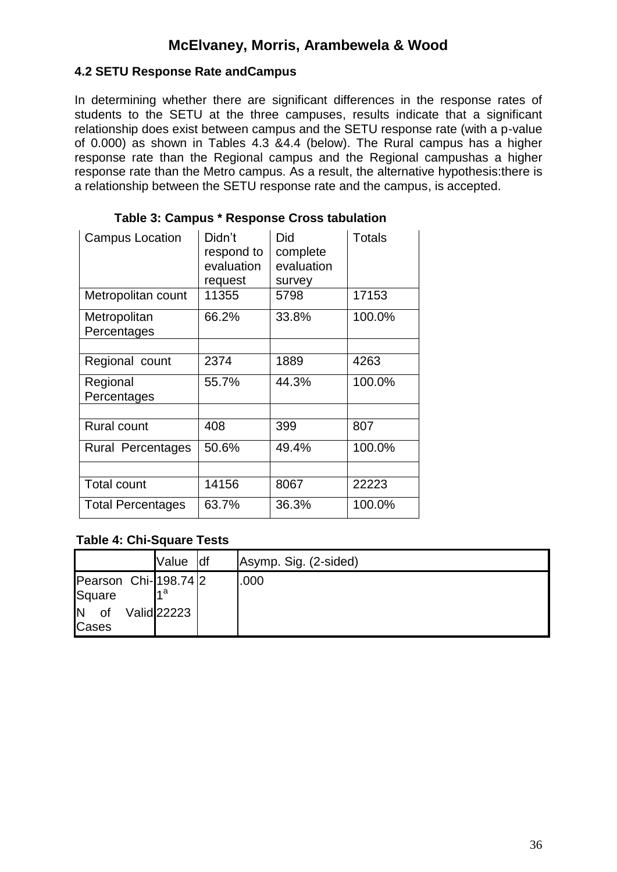#### **4.2 SETU Response Rate andCampus**

In determining whether there are significant differences in the response rates of students to the SETU at the three campuses, results indicate that a significant relationship does exist between campus and the SETU response rate (with a p-value of 0.000) as shown in Tables 4.3 &4.4 (below). The Rural campus has a higher response rate than the Regional campus and the Regional campushas a higher response rate than the Metro campus. As a result, the alternative hypothesis:there is a relationship between the SETU response rate and the campus, is accepted.

| <b>Campus Location</b>      | Didn't<br>respond to<br>evaluation<br>request | Did<br>complete<br>evaluation<br>survey | <b>Totals</b> |
|-----------------------------|-----------------------------------------------|-----------------------------------------|---------------|
| Metropolitan count          | 11355                                         | 5798                                    | 17153         |
| Metropolitan<br>Percentages | 66.2%                                         | 33.8%                                   | 100.0%        |
|                             |                                               |                                         |               |
| Regional count              | 2374                                          | 1889                                    | 4263          |
| Regional<br>Percentages     | 55.7%                                         | 44.3%                                   | 100.0%        |
|                             |                                               |                                         |               |
| <b>Rural count</b>          | 408                                           | 399                                     | 807           |
| Rural Percentages           | 50.6%                                         | 49.4%                                   | 100.0%        |
|                             |                                               |                                         |               |
| <b>Total count</b>          | 14156                                         | 8067                                    | 22223         |
| <b>Total Percentages</b>    | 63.7%                                         | 36.3%                                   | 100.0%        |

#### **Table 3: Campus \* Response Cross tabulation**

#### **Table 4: Chi-Square Tests**

|                                                      | Value               | ldf | Asymp. Sig. (2-sided) |
|------------------------------------------------------|---------------------|-----|-----------------------|
| Pearson Chi- 198.74 2<br>Square<br>ΙN<br>0f<br>Cases | lи a<br>Valid 22223 |     | .000                  |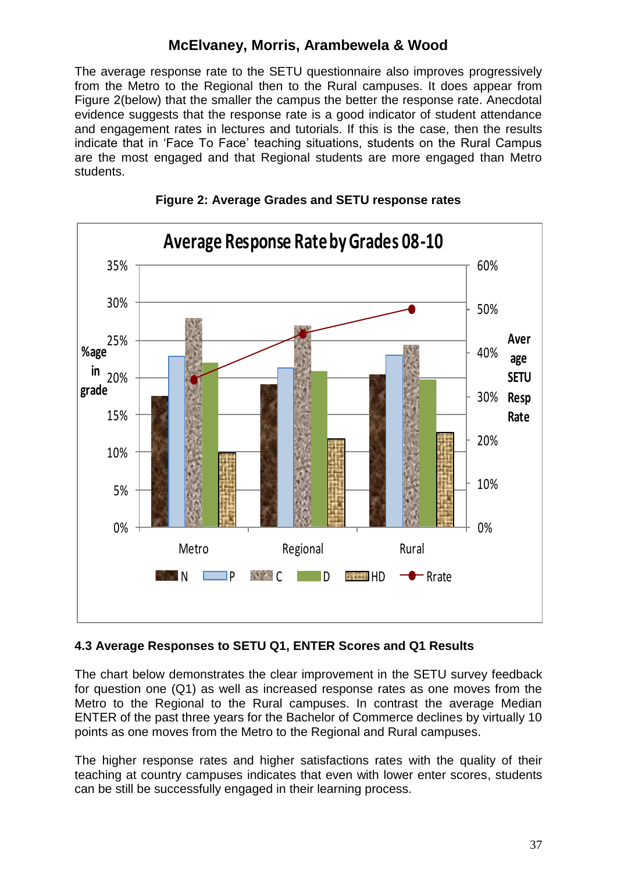The average response rate to the SETU questionnaire also improves progressively from the Metro to the Regional then to the Rural campuses. It does appear from Figure 2(below) that the smaller the campus the better the response rate. Anecdotal evidence suggests that the response rate is a good indicator of student attendance and engagement rates in lectures and tutorials. If this is the case, then the results indicate that in 'Face To Face' teaching situations, students on the Rural Campus are the most engaged and that Regional students are more engaged than Metro students.





### **4.3 Average Responses to SETU Q1, ENTER Scores and Q1 Results**

The chart below demonstrates the clear improvement in the SETU survey feedback for question one (Q1) as well as increased response rates as one moves from the Metro to the Regional to the Rural campuses. In contrast the average Median ENTER of the past three years for the Bachelor of Commerce declines by virtually 10 points as one moves from the Metro to the Regional and Rural campuses.

The higher response rates and higher satisfactions rates with the quality of their teaching at country campuses indicates that even with lower enter scores, students can be still be successfully engaged in their learning process.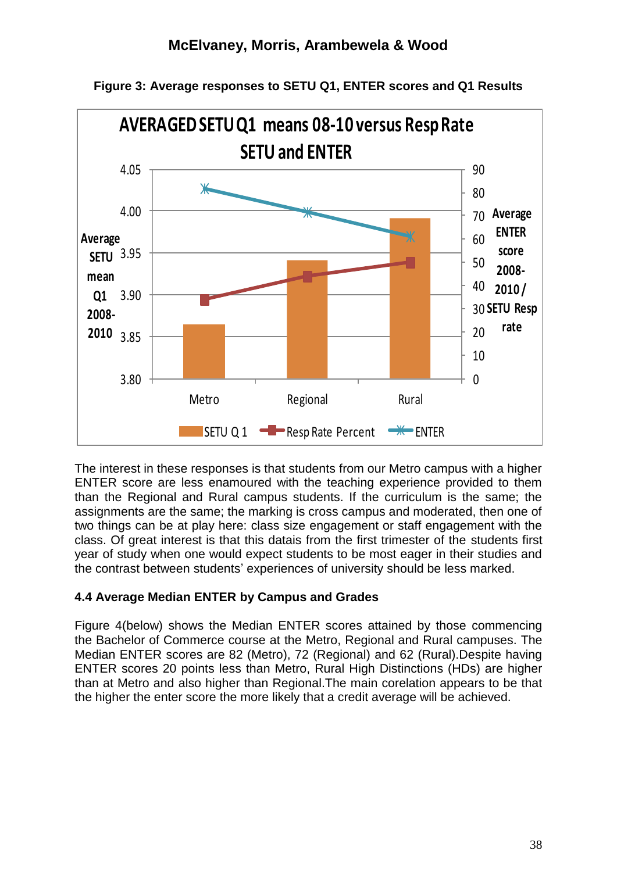

**Figure 3: Average responses to SETU Q1, ENTER scores and Q1 Results**

The interest in these responses is that students from our Metro campus with a higher ENTER score are less enamoured with the teaching experience provided to them than the Regional and Rural campus students. If the curriculum is the same; the assignments are the same; the marking is cross campus and moderated, then one of two things can be at play here: class size engagement or staff engagement with the class. Of great interest is that this datais from the first trimester of the students first year of study when one would expect students to be most eager in their studies and the contrast between students" experiences of university should be less marked.

### **4.4 Average Median ENTER by Campus and Grades**

Figure 4(below) shows the Median ENTER scores attained by those commencing the Bachelor of Commerce course at the Metro, Regional and Rural campuses. The Median ENTER scores are 82 (Metro), 72 (Regional) and 62 (Rural).Despite having ENTER scores 20 points less than Metro, Rural High Distinctions (HDs) are higher than at Metro and also higher than Regional.The main corelation appears to be that the higher the enter score the more likely that a credit average will be achieved.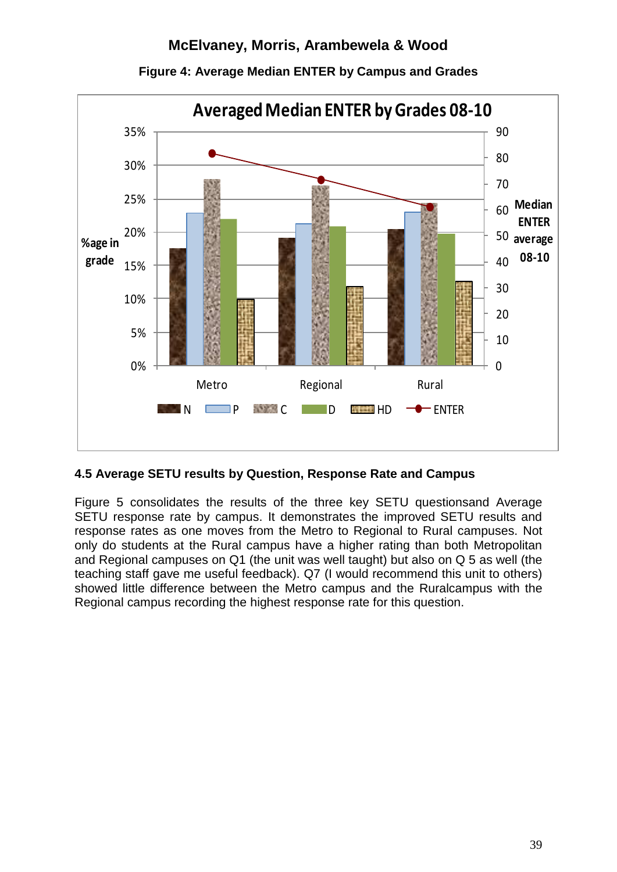

**Figure 4: Average Median ENTER by Campus and Grades**

### **4.5 Average SETU results by Question, Response Rate and Campus**

Figure 5 consolidates the results of the three key SETU questionsand Average SETU response rate by campus. It demonstrates the improved SETU results and response rates as one moves from the Metro to Regional to Rural campuses. Not only do students at the Rural campus have a higher rating than both Metropolitan and Regional campuses on Q1 (the unit was well taught) but also on Q 5 as well (the teaching staff gave me useful feedback). Q7 (I would recommend this unit to others) showed little difference between the Metro campus and the Ruralcampus with the Regional campus recording the highest response rate for this question.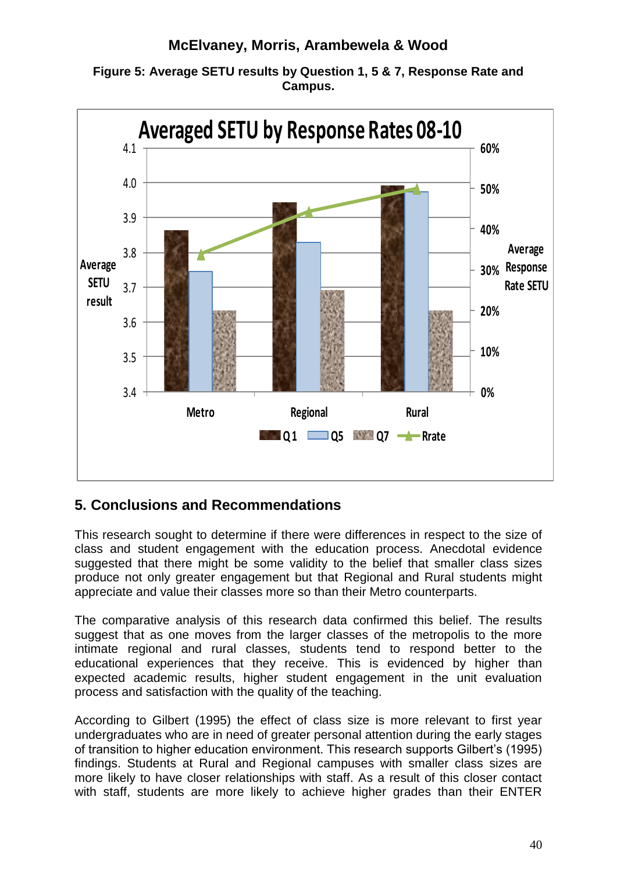



## **5. Conclusions and Recommendations**

This research sought to determine if there were differences in respect to the size of class and student engagement with the education process. Anecdotal evidence suggested that there might be some validity to the belief that smaller class sizes produce not only greater engagement but that Regional and Rural students might appreciate and value their classes more so than their Metro counterparts.

The comparative analysis of this research data confirmed this belief. The results suggest that as one moves from the larger classes of the metropolis to the more intimate regional and rural classes, students tend to respond better to the educational experiences that they receive. This is evidenced by higher than expected academic results, higher student engagement in the unit evaluation process and satisfaction with the quality of the teaching.

According to Gilbert (1995) the effect of class size is more relevant to first year undergraduates who are in need of greater personal attention during the early stages of transition to higher education environment. This research supports Gilbert"s (1995) findings. Students at Rural and Regional campuses with smaller class sizes are more likely to have closer relationships with staff. As a result of this closer contact with staff, students are more likely to achieve higher grades than their ENTER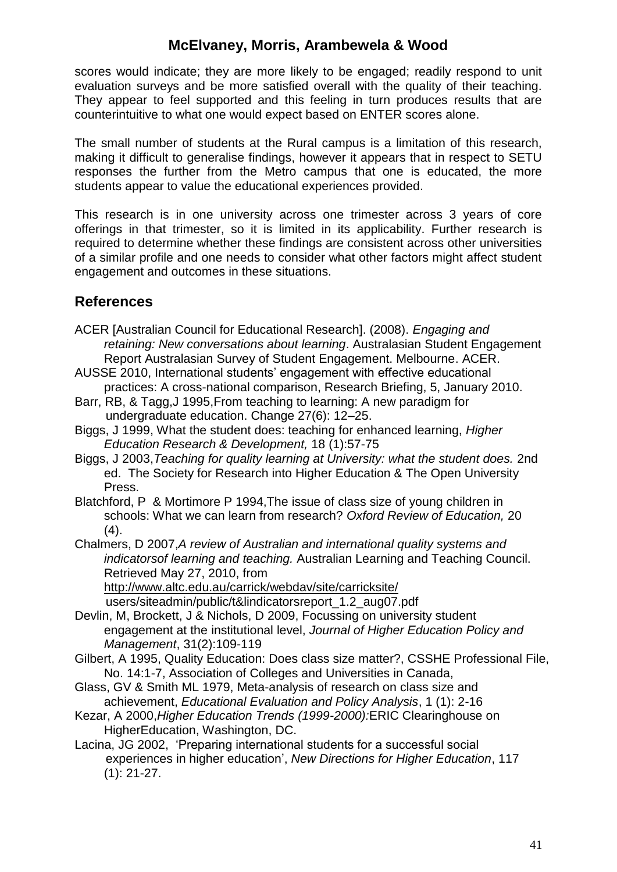scores would indicate; they are more likely to be engaged; readily respond to unit evaluation surveys and be more satisfied overall with the quality of their teaching. They appear to feel supported and this feeling in turn produces results that are counterintuitive to what one would expect based on ENTER scores alone.

The small number of students at the Rural campus is a limitation of this research, making it difficult to generalise findings, however it appears that in respect to SETU responses the further from the Metro campus that one is educated, the more students appear to value the educational experiences provided.

This research is in one university across one trimester across 3 years of core offerings in that trimester, so it is limited in its applicability. Further research is required to determine whether these findings are consistent across other universities of a similar profile and one needs to consider what other factors might affect student engagement and outcomes in these situations.

### **References**

- ACER [Australian Council for Educational Research]. (2008). *Engaging and retaining: New conversations about learning*. Australasian Student Engagement Report Australasian Survey of Student Engagement. Melbourne. ACER.
- AUSSE 2010, International students" engagement with effective educational practices: A cross-national comparison, Research Briefing, 5, January 2010.
- Barr, RB, & Tagg,J 1995,From teaching to learning: A new paradigm for undergraduate education. Change 27(6): 12–25.
- Biggs, J 1999, What the student does: teaching for enhanced learning, *Higher Education Research & Development,* 18 (1):57-75
- Biggs, J 2003,*Teaching for quality learning at University: what the student does.* 2nd ed. The Society for Research into Higher Education & The Open University Press.
- Blatchford, P & Mortimore P 1994,The issue of class size of young children in schools: What we can learn from research? *Oxford Review of Education,* 20  $(4)$ .
- Chalmers, D 2007,*A review of Australian and international quality systems and indicatorsof learning and teaching.* Australian Learning and Teaching Council. Retrieved May 27, 2010, from

<http://www.altc.edu.au/carrick/webdav/site/carricksite/>

users/siteadmin/public/t&lindicatorsreport\_1.2\_aug07.pdf

- Devlin, M, Brockett, J & Nichols, D 2009, Focussing on university student engagement at the institutional level, *Journal of Higher Education Policy and Management*, 31(2):109-119
- Gilbert, A 1995, Quality Education: Does class size matter?, CSSHE Professional File, No. 14:1-7, Association of Colleges and Universities in Canada,
- Glass, GV & Smith ML 1979, Meta-analysis of research on class size and achievement, *Educational Evaluation and Policy Analysis*, 1 (1): 2-16
- Kezar, A 2000,*Higher Education Trends (1999-2000):*ERIC Clearinghouse on HigherEducation, Washington, DC.
- Lacina, JG 2002, "Preparing international students for a successful social experiences in higher education", *New Directions for Higher Education*, 117 (1): 21-27.